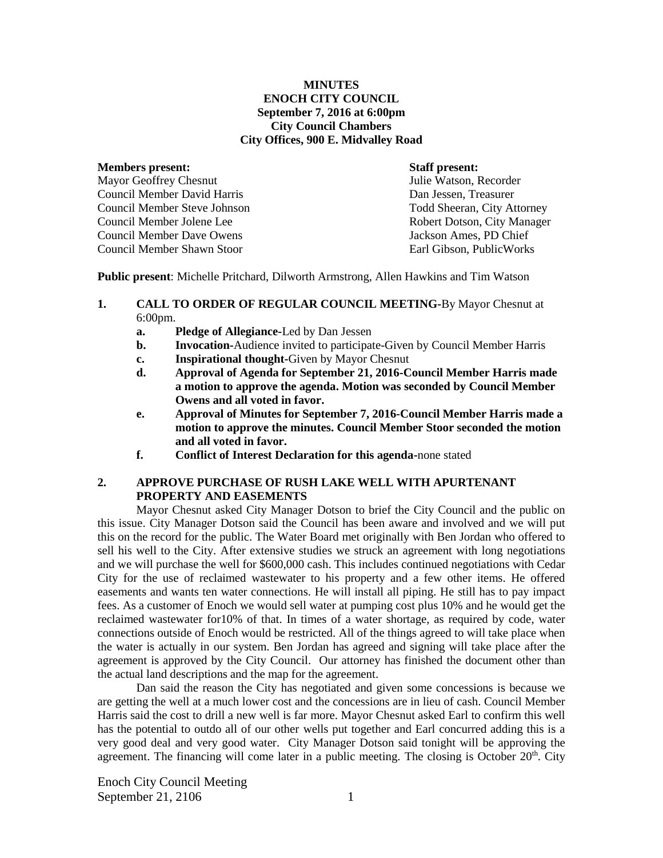#### **MINUTES ENOCH CITY COUNCIL September 7, 2016 at 6:00pm City Council Chambers City Offices, 900 E. Midvalley Road**

#### **Members present: Staff present:**

Mayor Geoffrey Chesnut Julie Watson, Recorder Council Member David Harris Dan Jessen, Treasurer Council Member Steve Johnson Todd Sheeran, City Attorney Council Member Jolene Lee Robert Dotson, City Manager Council Member Dave Owens Jackson Ames, PD Chief Council Member Shawn Stoor Earl Gibson, PublicWorks

**Public present**: Michelle Pritchard, Dilworth Armstrong, Allen Hawkins and Tim Watson

- **1. CALL TO ORDER OF REGULAR COUNCIL MEETING-**By Mayor Chesnut at 6:00pm.
	- **a. Pledge of Allegiance-**Led by Dan Jessen
	- **b. Invocation-**Audience invited to participate-Given by Council Member Harris
	- **c. Inspirational thought-**Given by Mayor Chesnut
	- **d. Approval of Agenda for September 21, 2016-Council Member Harris made a motion to approve the agenda. Motion was seconded by Council Member Owens and all voted in favor.**
	- **e. Approval of Minutes for September 7, 2016-Council Member Harris made a motion to approve the minutes. Council Member Stoor seconded the motion and all voted in favor.**
	- **f. Conflict of Interest Declaration for this agenda-**none stated

#### **2. APPROVE PURCHASE OF RUSH LAKE WELL WITH APURTENANT PROPERTY AND EASEMENTS**

Mayor Chesnut asked City Manager Dotson to brief the City Council and the public on this issue. City Manager Dotson said the Council has been aware and involved and we will put this on the record for the public. The Water Board met originally with Ben Jordan who offered to sell his well to the City. After extensive studies we struck an agreement with long negotiations and we will purchase the well for \$600,000 cash. This includes continued negotiations with Cedar City for the use of reclaimed wastewater to his property and a few other items. He offered easements and wants ten water connections. He will install all piping. He still has to pay impact fees. As a customer of Enoch we would sell water at pumping cost plus 10% and he would get the reclaimed wastewater for10% of that. In times of a water shortage, as required by code, water connections outside of Enoch would be restricted. All of the things agreed to will take place when the water is actually in our system. Ben Jordan has agreed and signing will take place after the agreement is approved by the City Council. Our attorney has finished the document other than the actual land descriptions and the map for the agreement.

Dan said the reason the City has negotiated and given some concessions is because we are getting the well at a much lower cost and the concessions are in lieu of cash. Council Member Harris said the cost to drill a new well is far more. Mayor Chesnut asked Earl to confirm this well has the potential to outdo all of our other wells put together and Earl concurred adding this is a very good deal and very good water. City Manager Dotson said tonight will be approving the agreement. The financing will come later in a public meeting. The closing is October  $20<sup>th</sup>$ . City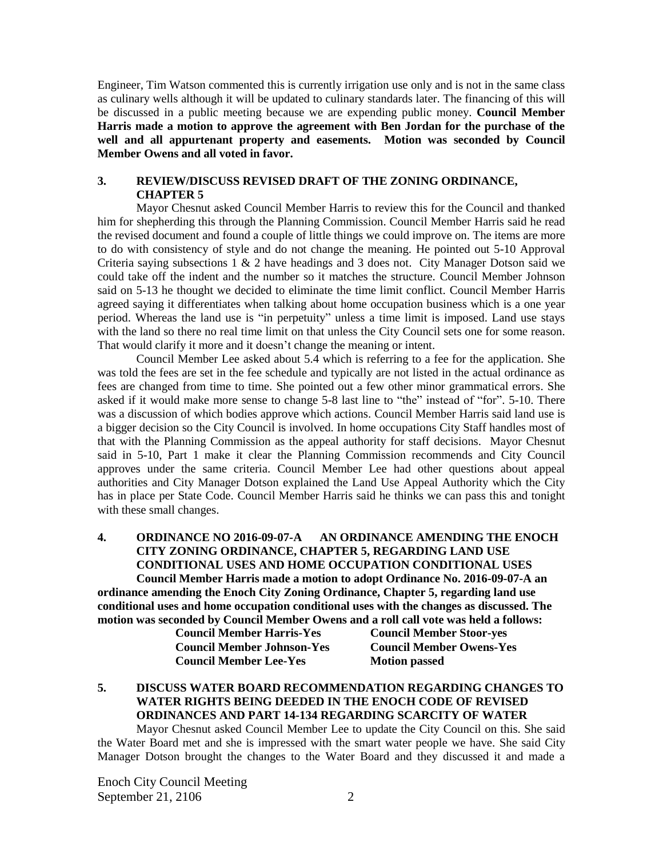Engineer, Tim Watson commented this is currently irrigation use only and is not in the same class as culinary wells although it will be updated to culinary standards later. The financing of this will be discussed in a public meeting because we are expending public money. **Council Member Harris made a motion to approve the agreement with Ben Jordan for the purchase of the well and all appurtenant property and easements. Motion was seconded by Council Member Owens and all voted in favor.**

## **3. REVIEW/DISCUSS REVISED DRAFT OF THE ZONING ORDINANCE, CHAPTER 5**

Mayor Chesnut asked Council Member Harris to review this for the Council and thanked him for shepherding this through the Planning Commission. Council Member Harris said he read the revised document and found a couple of little things we could improve on. The items are more to do with consistency of style and do not change the meaning. He pointed out 5-10 Approval Criteria saying subsections 1 & 2 have headings and 3 does not. City Manager Dotson said we could take off the indent and the number so it matches the structure. Council Member Johnson said on 5-13 he thought we decided to eliminate the time limit conflict. Council Member Harris agreed saying it differentiates when talking about home occupation business which is a one year period. Whereas the land use is "in perpetuity" unless a time limit is imposed. Land use stays with the land so there no real time limit on that unless the City Council sets one for some reason. That would clarify it more and it doesn't change the meaning or intent.

Council Member Lee asked about 5.4 which is referring to a fee for the application. She was told the fees are set in the fee schedule and typically are not listed in the actual ordinance as fees are changed from time to time. She pointed out a few other minor grammatical errors. She asked if it would make more sense to change 5-8 last line to "the" instead of "for". 5-10. There was a discussion of which bodies approve which actions. Council Member Harris said land use is a bigger decision so the City Council is involved. In home occupations City Staff handles most of that with the Planning Commission as the appeal authority for staff decisions. Mayor Chesnut said in 5-10, Part 1 make it clear the Planning Commission recommends and City Council approves under the same criteria. Council Member Lee had other questions about appeal authorities and City Manager Dotson explained the Land Use Appeal Authority which the City has in place per State Code. Council Member Harris said he thinks we can pass this and tonight with these small changes.

#### **4. ORDINANCE NO 2016-09-07-A AN ORDINANCE AMENDING THE ENOCH CITY ZONING ORDINANCE, CHAPTER 5, REGARDING LAND USE CONDITIONAL USES AND HOME OCCUPATION CONDITIONAL USES**

**Council Member Harris made a motion to adopt Ordinance No. 2016-09-07-A an ordinance amending the Enoch City Zoning Ordinance, Chapter 5, regarding land use conditional uses and home occupation conditional uses with the changes as discussed. The motion was seconded by Council Member Owens and a roll call vote was held a follows:**

| <b>Council Member Harris-Yes</b>  | <b>Council Member Stoor-yes</b> |
|-----------------------------------|---------------------------------|
| <b>Council Member Johnson-Yes</b> | <b>Council Member Owens-Yes</b> |
| <b>Council Member Lee-Yes</b>     | <b>Motion passed</b>            |

# **5. DISCUSS WATER BOARD RECOMMENDATION REGARDING CHANGES TO WATER RIGHTS BEING DEEDED IN THE ENOCH CODE OF REVISED ORDINANCES AND PART 14-134 REGARDING SCARCITY OF WATER**

Mayor Chesnut asked Council Member Lee to update the City Council on this. She said the Water Board met and she is impressed with the smart water people we have. She said City Manager Dotson brought the changes to the Water Board and they discussed it and made a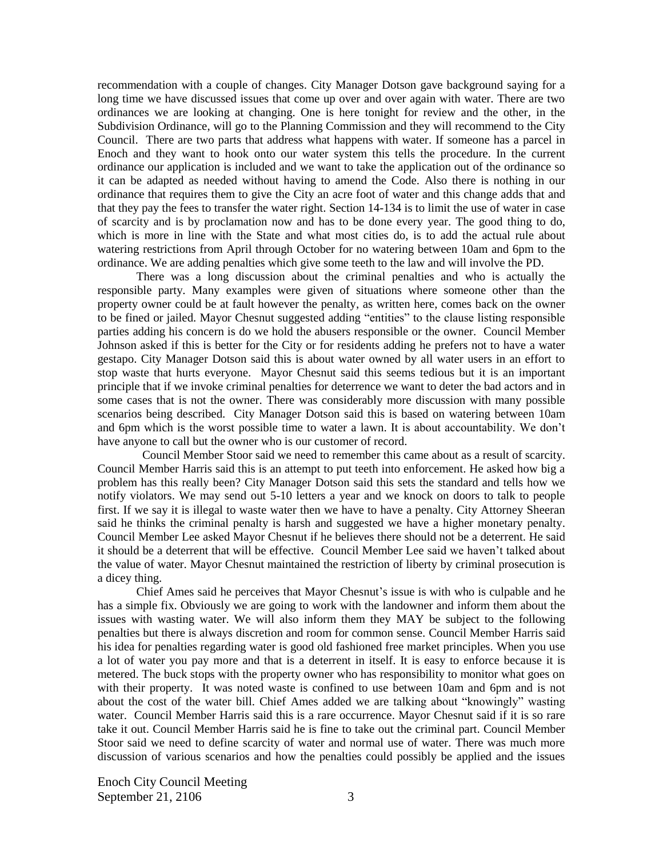recommendation with a couple of changes. City Manager Dotson gave background saying for a long time we have discussed issues that come up over and over again with water. There are two ordinances we are looking at changing. One is here tonight for review and the other, in the Subdivision Ordinance, will go to the Planning Commission and they will recommend to the City Council. There are two parts that address what happens with water. If someone has a parcel in Enoch and they want to hook onto our water system this tells the procedure. In the current ordinance our application is included and we want to take the application out of the ordinance so it can be adapted as needed without having to amend the Code. Also there is nothing in our ordinance that requires them to give the City an acre foot of water and this change adds that and that they pay the fees to transfer the water right. Section 14-134 is to limit the use of water in case of scarcity and is by proclamation now and has to be done every year. The good thing to do, which is more in line with the State and what most cities do, is to add the actual rule about watering restrictions from April through October for no watering between 10am and 6pm to the ordinance. We are adding penalties which give some teeth to the law and will involve the PD.

There was a long discussion about the criminal penalties and who is actually the responsible party. Many examples were given of situations where someone other than the property owner could be at fault however the penalty, as written here, comes back on the owner to be fined or jailed. Mayor Chesnut suggested adding "entities" to the clause listing responsible parties adding his concern is do we hold the abusers responsible or the owner. Council Member Johnson asked if this is better for the City or for residents adding he prefers not to have a water gestapo. City Manager Dotson said this is about water owned by all water users in an effort to stop waste that hurts everyone. Mayor Chesnut said this seems tedious but it is an important principle that if we invoke criminal penalties for deterrence we want to deter the bad actors and in some cases that is not the owner. There was considerably more discussion with many possible scenarios being described. City Manager Dotson said this is based on watering between 10am and 6pm which is the worst possible time to water a lawn. It is about accountability. We don't have anyone to call but the owner who is our customer of record.

 Council Member Stoor said we need to remember this came about as a result of scarcity. Council Member Harris said this is an attempt to put teeth into enforcement. He asked how big a problem has this really been? City Manager Dotson said this sets the standard and tells how we notify violators. We may send out 5-10 letters a year and we knock on doors to talk to people first. If we say it is illegal to waste water then we have to have a penalty. City Attorney Sheeran said he thinks the criminal penalty is harsh and suggested we have a higher monetary penalty. Council Member Lee asked Mayor Chesnut if he believes there should not be a deterrent. He said it should be a deterrent that will be effective. Council Member Lee said we haven't talked about the value of water. Mayor Chesnut maintained the restriction of liberty by criminal prosecution is a dicey thing.

Chief Ames said he perceives that Mayor Chesnut's issue is with who is culpable and he has a simple fix. Obviously we are going to work with the landowner and inform them about the issues with wasting water. We will also inform them they MAY be subject to the following penalties but there is always discretion and room for common sense. Council Member Harris said his idea for penalties regarding water is good old fashioned free market principles. When you use a lot of water you pay more and that is a deterrent in itself. It is easy to enforce because it is metered. The buck stops with the property owner who has responsibility to monitor what goes on with their property. It was noted waste is confined to use between 10am and 6pm and is not about the cost of the water bill. Chief Ames added we are talking about "knowingly" wasting water. Council Member Harris said this is a rare occurrence. Mayor Chesnut said if it is so rare take it out. Council Member Harris said he is fine to take out the criminal part. Council Member Stoor said we need to define scarcity of water and normal use of water. There was much more discussion of various scenarios and how the penalties could possibly be applied and the issues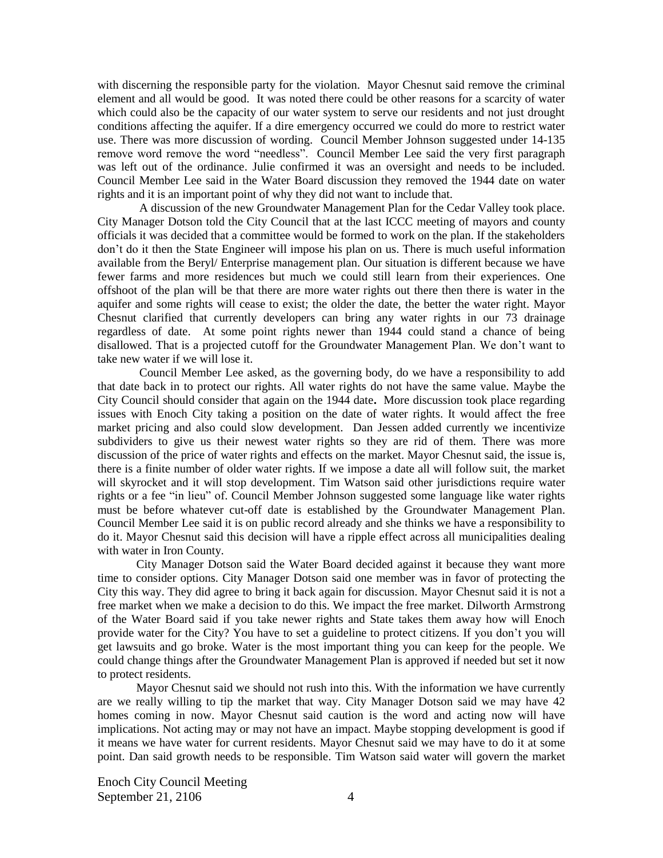with discerning the responsible party for the violation. Mayor Chesnut said remove the criminal element and all would be good. It was noted there could be other reasons for a scarcity of water which could also be the capacity of our water system to serve our residents and not just drought conditions affecting the aquifer. If a dire emergency occurred we could do more to restrict water use. There was more discussion of wording. Council Member Johnson suggested under 14-135 remove word remove the word "needless". Council Member Lee said the very first paragraph was left out of the ordinance. Julie confirmed it was an oversight and needs to be included. Council Member Lee said in the Water Board discussion they removed the 1944 date on water rights and it is an important point of why they did not want to include that.

A discussion of the new Groundwater Management Plan for the Cedar Valley took place. City Manager Dotson told the City Council that at the last ICCC meeting of mayors and county officials it was decided that a committee would be formed to work on the plan. If the stakeholders don't do it then the State Engineer will impose his plan on us. There is much useful information available from the Beryl/ Enterprise management plan. Our situation is different because we have fewer farms and more residences but much we could still learn from their experiences. One offshoot of the plan will be that there are more water rights out there then there is water in the aquifer and some rights will cease to exist; the older the date, the better the water right. Mayor Chesnut clarified that currently developers can bring any water rights in our 73 drainage regardless of date. At some point rights newer than 1944 could stand a chance of being disallowed. That is a projected cutoff for the Groundwater Management Plan. We don't want to take new water if we will lose it.

Council Member Lee asked, as the governing body, do we have a responsibility to add that date back in to protect our rights. All water rights do not have the same value. Maybe the City Council should consider that again on the 1944 date**.** More discussion took place regarding issues with Enoch City taking a position on the date of water rights. It would affect the free market pricing and also could slow development. Dan Jessen added currently we incentivize subdividers to give us their newest water rights so they are rid of them. There was more discussion of the price of water rights and effects on the market. Mayor Chesnut said, the issue is, there is a finite number of older water rights. If we impose a date all will follow suit, the market will skyrocket and it will stop development. Tim Watson said other jurisdictions require water rights or a fee "in lieu" of. Council Member Johnson suggested some language like water rights must be before whatever cut-off date is established by the Groundwater Management Plan. Council Member Lee said it is on public record already and she thinks we have a responsibility to do it. Mayor Chesnut said this decision will have a ripple effect across all municipalities dealing with water in Iron County.

City Manager Dotson said the Water Board decided against it because they want more time to consider options. City Manager Dotson said one member was in favor of protecting the City this way. They did agree to bring it back again for discussion. Mayor Chesnut said it is not a free market when we make a decision to do this. We impact the free market. Dilworth Armstrong of the Water Board said if you take newer rights and State takes them away how will Enoch provide water for the City? You have to set a guideline to protect citizens. If you don't you will get lawsuits and go broke. Water is the most important thing you can keep for the people. We could change things after the Groundwater Management Plan is approved if needed but set it now to protect residents.

Mayor Chesnut said we should not rush into this. With the information we have currently are we really willing to tip the market that way. City Manager Dotson said we may have 42 homes coming in now. Mayor Chesnut said caution is the word and acting now will have implications. Not acting may or may not have an impact. Maybe stopping development is good if it means we have water for current residents. Mayor Chesnut said we may have to do it at some point. Dan said growth needs to be responsible. Tim Watson said water will govern the market